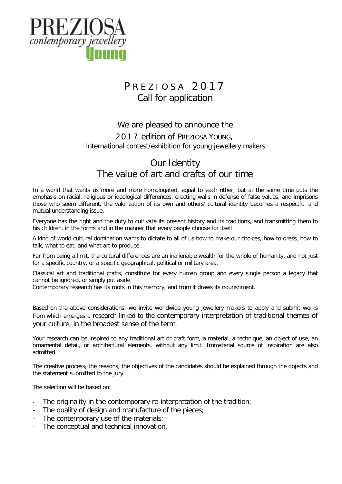

# PREZIOSA 2017 Call for application

### We are pleased to announce the

## 201 7 edition of PREZIOSA YOUNG, International contest/exhibition for young jewellery makers

# Our Identity The value of art and crafts of our time

In a world that wants us more and more homologated, equal to each other, but at the same time puts the emphasis on racial, religious or ideological differences, erecting walls in defense of false values, and imprisons those who seem different, the valorization of its own and others' cultural identity becomes a respectful and mutual understanding issue.

Everyone has the right and the duty to cultivate its present history and its traditions, and transmitting them to his children, in the forms and in the manner that every people choose for itself.

A kind of world cultural domination wants to dictate to all of us how to make our choices, how to dress, how to talk, what to eat, and what art to produce.

Far from being a limit, the cultural differences are an inalienable wealth for the whole of humanity, and not just for a specific country, or a specific geographical, political or military area.

Classical art and traditional crafts, constitute for every human group and every single person a legacy that cannot be ignored, or simply put aside.

Contemporary research has its roots in this memory, and from it draws its nourishment.

Based on the above considerations, we invite worldwide young jewellery makers to apply and submit works from which emerges a research linked to the contemporary interpretation of traditional themes of your culture, in the broadest sense of the term.

Your research can be inspired to any traditional art or craft form, a material, a technique, an object of use, an ornamental detail, or architectural elements, without any limit. Immaterial source of inspiration are also admitted.

The creative process, the reasons, the objectives of the candidates should be explained through the objects and the statement submitted to the jury.

The selection will be based on:

- The originality in the contemporary re-interpretation of the tradition;
- The quality of design and manufacture of the pieces;
- The contemporary use of the materials;
- The conceptual and technical innovation.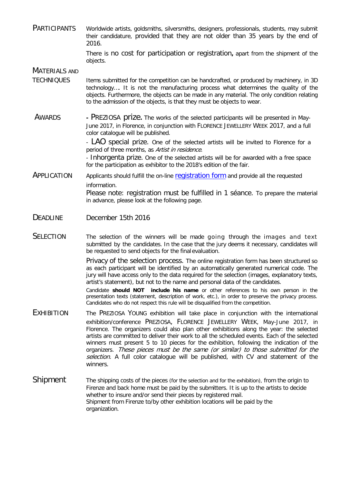PARTICIPANTS Worldwide artists, goldsmiths, silversmiths, designers, professionals, students, may submit their candidature, provided that they are not older than 35 years by the end of 2016.

> There is no cost for participation or registration**,** apart from the shipment of the objects.

MATERIALS AND

- TECHNIQUES Items submitted for the competition can be handcrafted, or produced by machinery, in 3D technology…. It is not the manufacturing process what determines the quality of the objects. Furthermore, the objects can be made in any material. The only condition relating to the admission of the objects, is that they must be objects to wear.
- AWARDS **-** PREZIOSA prize**.** The works of the selected participants will be presented in May-June 2017, in Florence, in conjunction with FLORENCE JEWELLERY WEEK 2017, and a full color catalogue will be published.

- LAO special prize. One of the selected artists will be invited to Florence for a period of three months, as Artist in residence.

- Inhorgenta prize. One of the selected artists will be for awarded with a free space for the participation as exhibitor to the 2018's edition of the fair.

- APPLICATION Applicants should fulfill the on-line [registration form](http://www.artiorafe.it/preziosa-young-2016/) and provide all the requested information. Please note: registration must be fulfilled in 1 séance. To prepare the material in advance, please look at the following page.
- DEADLINE December 15th 2016
- SELECTION The selection of the winners will be made going through the images and text submitted by the candidates. In the case that the jury deems it necessary, candidates will be requested to send objects for the final evaluation.

Privacy of the selection process. The online registration form has been structured so as each participant will be identified by an automatically generated numerical code. The jury will have access only to the data required for the selection (images, explanatory texts, artist's statement), but not to the name and personal data of the candidates.

Candidate **should NOT include his name** or other references to his own person in the presentation texts (statement, description of work, etc.), in order to preserve the privacy process. Candidates who do not respect this rule will be disqualified from the competition.

- EXHIBITION The PREZIOSA YOUNG exhibition will take place in conjunction with the international exhibition/conference PREZIOSA, FLORENCE JEWELLERY WEEK, May-June 2017, in Florence. The organizers could also plan other exhibitions along the year: the selected artists are committed to deliver their work to all the scheduled events. Each of the selected winners must present 5 to 10 pieces for the exhibition, following the indication of the organizers. These pieces must be the same (or similar) to those submitted for the selection. A full color catalogue will be published, with CV and statement of the winners.
- Shipment The shipping costs of the pieces (for the selection and for the exhibition), from the origin to Firenze and back home must be paid by the submitters. It is up to the artists to decide whether to insure and/or send their pieces by registered mail. Shipment from Firenze to/by other exhibition locations will be paid by the organization.